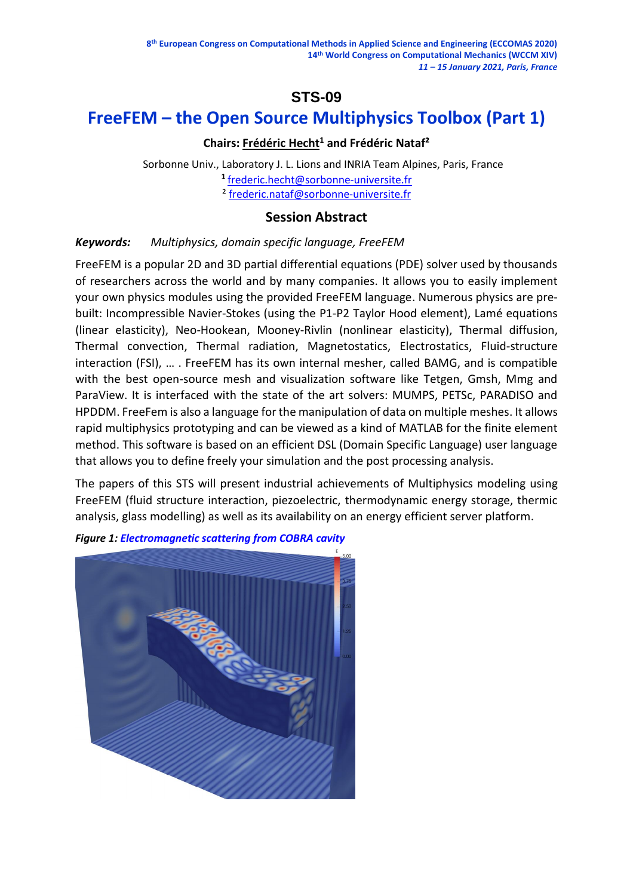# **STS-09**

# **FreeFEM – the Open Source Multiphysics Toolbox (Part 1)**

# **Chairs: Frédéric Hecht<sup>1</sup> and Frédéric Nataf²**

 Sorbonne Univ., Laboratory J. L. Lions and INRIA Team Alpines, Paris, France **<sup>1</sup>**[frederic.hecht@sorbonne-universite.fr](mailto:frederic.hecht@sorbonne-universite.fr) ² [frederic.nataf@sorbonne-universite.fr](mailto:frederic.nataf@sorbonne-universite.fr)

## **Session Abstract**

## *Keywords: Multiphysics, domain specific language, FreeFEM*

FreeFEM is a popular 2D and 3D partial differential equations (PDE) solver used by thousands of researchers across the world and by many companies. It allows you to easily implement your own physics modules using the provided FreeFEM language. Numerous physics are prebuilt: Incompressible Navier-Stokes (using the P1-P2 Taylor Hood element), Lamé equations (linear elasticity), Neo-Hookean, Mooney-Rivlin (nonlinear elasticity), Thermal diffusion, Thermal convection, Thermal radiation, Magnetostatics, Electrostatics, Fluid-structure interaction (FSI), … . FreeFEM has its own internal mesher, called BAMG, and is compatible with the best open-source mesh and visualization software like Tetgen, Gmsh, Mmg and ParaView. It is interfaced with the state of the art solvers: MUMPS, PETSc, PARADISO and HPDDM. FreeFem is also a language for the manipulation of data on multiple meshes. It allows rapid multiphysics prototyping and can be viewed as a kind of MATLAB for the finite element method. This software is based on an efficient DSL (Domain Specific Language) user language that allows you to define freely your simulation and the post processing analysis.

The papers of this STS will present industrial achievements of Multiphysics modeling using FreeFEM (fluid structure interaction, piezoelectric, thermodynamic energy storage, thermic analysis, glass modelling) as well as its availability on an energy efficient server platform.



*Figure 1: [Electromagnetic scattering from COBRA cavity](https://freefem.org/gallery/cobra)*